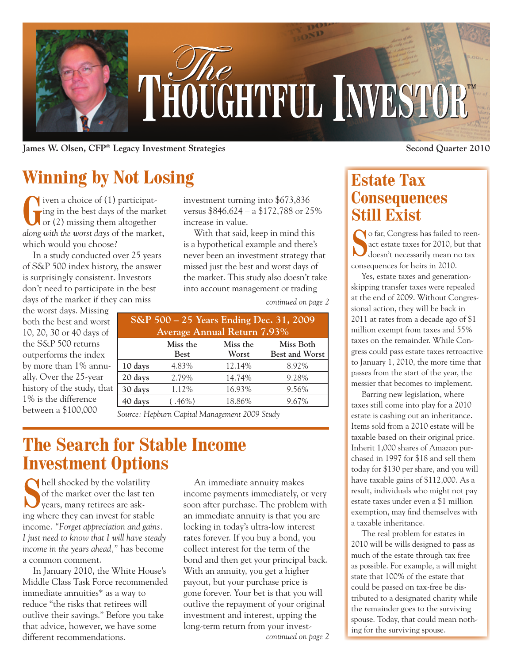

**James W. Olsen, CFP® Legacy Investment Strategies Second Quarter 2010**

## **Winning by Not Losing**

**G**iven a choice of (1) participat-<br>ing in the best days of the mark<br>or (2) missing them altogether ing in the best days of the market or  $(2)$  missing them altogether *along with the worst days* of the market, which would you choose?

In a study conducted over 25 years of S&P 500 index history, the answer is surprisingly consistent. Investors don't need to participate in the best days of the market if they can miss

the worst days. Missing both the best and worst 10, 20, 30 or 40 days of the S&P 500 returns outperforms the index by more than 1% annually. Over the 25-year history of the study, that 1% is the difference between a \$100,000

investment turning into \$673,836 versus \$846,624 – a \$172,788 or 25% increase in value.

With that said, keep in mind this is a hypothetical example and there's never been an investment strategy that missed just the best and worst days of the market. This study also doesn't take into account management or trading

*continued on page 2*

| S&P 500 - 25 Years Ending Dec. 31, 2009 |             |          |                       |
|-----------------------------------------|-------------|----------|-----------------------|
| <b>Average Annual Return 7.93%</b>      |             |          |                       |
|                                         | Miss the    | Miss the | Miss Both             |
|                                         | <b>Best</b> | Worst    | <b>Best and Worst</b> |
| 10 days                                 | 4.83%       | 12.14%   | 8.92%                 |
| 20 days                                 | 2.79%       | 14.74%   | 9.28%                 |
| 30 days                                 | 1.12%       | 16.93%   | 9.56%                 |
| 40 days                                 | $(.46\%)$   | 18.86%   | 9.67%                 |
|                                         |             |          |                       |

*Source: Hepburn Capital Management 2009 Study*

## **The Search for Stable Income Investment Options**

**S**hell shocked by the volatility of the market over the last ten years, many retirees are asking where they can invest for stable income. *"Forget appreciation and gains. I just need to know that I will have steady income in the years ahead,"* has become a common comment.

In January 2010, the White House's Middle Class Task Force recommended immediate annuities\* as a way to reduce "the risks that retirees will outlive their savings." Before you take that advice, however, we have some different recommendations.

An immediate annuity makes income payments immediately, or very soon after purchase. The problem with an immediate annuity is that you are locking in today's ultra-low interest rates forever. If you buy a bond, you collect interest for the term of the bond and then get your principal back. With an annuity, you get a higher payout, but your purchase price is gone forever. Your bet is that you will outlive the repayment of your original investment and interest, upping the long-term return from your invest-

### **Estate Tax Consequences Still Exist**

**S**o far, Congress has failed to reen-<br>act estate taxes for 2010, but that<br>doesn't necessarily mean no tax act estate taxes for 2010, but that doesn't necessarily mean no tax consequences for heirs in 2010.

Yes, estate taxes and generationskipping transfer taxes were repealed at the end of 2009. Without Congressional action, they will be back in 2011 at rates from a decade ago of \$1 million exempt from taxes and 55% taxes on the remainder. While Congress could pass estate taxes retroactive to January 1, 2010, the more time that passes from the start of the year, the messier that becomes to implement.

Barring new legislation, where taxes still come into play for a 2010 estate is cashing out an inheritance. Items sold from a 2010 estate will be taxable based on their original price. Inherit 1,000 shares of Amazon purchased in 1997 for \$18 and sell them today for \$130 per share, and you will have taxable gains of \$112,000. As a result, individuals who might not pay estate taxes under even a \$1 million exemption, may find themselves with a taxable inheritance.

The real problem for estates in 2010 will be wills designed to pass as much of the estate through tax free as possible. For example, a will might state that 100% of the estate that could be passed on tax-free be distributed to a designated charity while the remainder goes to the surviving spouse. Today, that could mean nothing for the surviving spouse. *continued on page 2*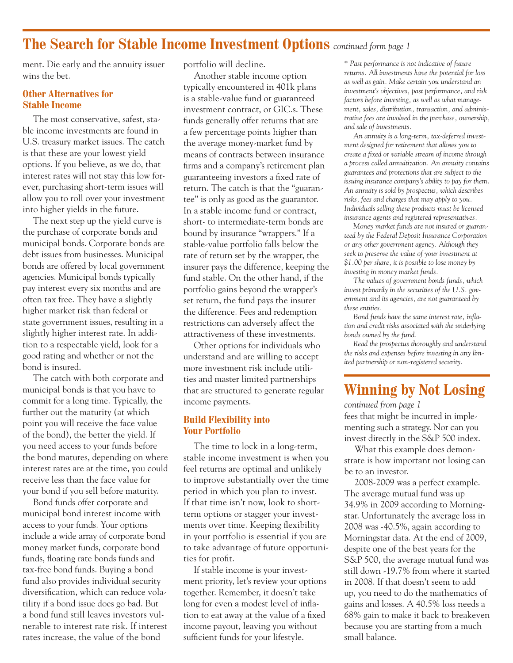### **The Search for Stable Income Investment Options** *continued form page 1*

ment. Die early and the annuity issuer wins the bet.

#### **Other Alternatives for Stable Income**

The most conservative, safest, stable income investments are found in U.S. treasury market issues. The catch is that these are your lowest yield options. If you believe, as we do, that interest rates will not stay this low forever, purchasing short-term issues will allow you to roll over your investment into higher yields in the future.

The next step up the yield curve is the purchase of corporate bonds and municipal bonds. Corporate bonds are debt issues from businesses. Municipal bonds are offered by local government agencies. Municipal bonds typically pay interest every six months and are often tax free. They have a slightly higher market risk than federal or state government issues, resulting in a slightly higher interest rate. In addition to a respectable yield, look for a good rating and whether or not the bond is insured.

The catch with both corporate and municipal bonds is that you have to commit for a long time. Typically, the further out the maturity (at which point you will receive the face value of the bond), the better the yield. If you need access to your funds before the bond matures, depending on where interest rates are at the time, you could receive less than the face value for your bond if you sell before maturity.

Bond funds offer corporate and municipal bond interest income with access to your funds. Your options include a wide array of corporate bond money market funds, corporate bond funds, floating rate bonds funds and tax-free bond funds. Buying a bond fund also provides individual security diversification, which can reduce volatility if a bond issue does go bad. But a bond fund still leaves investors vulnerable to interest rate risk. If interest rates increase, the value of the bond

portfolio will decline.

Another stable income option typically encountered in 401k plans is a stable-value fund or guaranteed investment contract, or GIC.s. These funds generally offer returns that are a few percentage points higher than the average money-market fund by means of contracts between insurance firms and a company's retirement plan guaranteeing investors a fixed rate of return. The catch is that the "guarantee" is only as good as the guarantor. In a stable income fund or contract, short- to intermediate-term bonds are bound by insurance "wrappers." If a stable-value portfolio falls below the rate of return set by the wrapper, the insurer pays the difference, keeping the fund stable. On the other hand, if the portfolio gains beyond the wrapper's set return, the fund pays the insurer the difference. Fees and redemption restrictions can adversely affect the attractiveness of these investments.

Other options for individuals who understand and are willing to accept more investment risk include utilities and master limited partnerships that are structured to generate regular income payments.

#### **Build Flexibility into Your Portfolio**

The time to lock in a long-term, stable income investment is when you feel returns are optimal and unlikely to improve substantially over the time period in which you plan to invest. If that time isn't now, look to shortterm options or stagger your investments over time. Keeping flexibility in your portfolio is essential if you are to take advantage of future opportunities for profit.

If stable income is your investment priority, let's review your options together. Remember, it doesn't take long for even a modest level of inflation to eat away at the value of a fixed income payout, leaving you without sufficient funds for your lifestyle.

*\* Past performance is not indicative of future returns. All investments have the potential for loss as well as gain. Make certain you understand an investment's objectives, past performance, and risk factors before investing, as well as what management, sales, distribution, transaction, and administrative fees are involved in the purchase, ownership, and sale of investments.*

*An annuity is a long-term, tax-deferred investment designed for retirement that allows you to create a fixed or variable stream of income through a process called annuitization. An annuity contains guarantees and protections that are subject to the issuing insurance company's ability to pay for them. An annuity is sold by prospectus, which describes risks, fees and charges that may apply to you. Individuals selling these products must be licensed insurance agents and registered representatives.*

*Money market funds are not insured or guaranteed by the Federal Deposit Insurance Corporation or any other government agency. Although they seek to preserve the value of your investment at \$1.00 per share, it is possible to lose money by investing in money market funds.*

*The values of government bonds funds, which invest primarily in the securities of the U.S. government and its agencies, are not guaranteed by these entities.*

*Bond funds have the same interest rate, inflation and credit risks associated with the underlying bonds owned by the fund.*

*Read the prospectus thoroughly and understand the risks and expenses before investing in any limited partnership or non-registered security.*

## **Winning by Not Losing**

fees that might be incurred in implementing such a strategy. Nor can you invest directly in the S&P 500 index. *continued from page 1*

What this example does demonstrate is how important not losing can be to an investor.

2008-2009 was a perfect example. The average mutual fund was up 34.9% in 2009 according to Morningstar. Unfortunately the average loss in 2008 was -40.5%, again according to Morningstar data. At the end of 2009, despite one of the best years for the S&P 500, the average mutual fund was still down -19.7% from where it started in 2008. If that doesn't seem to add up, you need to do the mathematics of gains and losses. A 40.5% loss needs a 68% gain to make it back to breakeven because you are starting from a much small balance.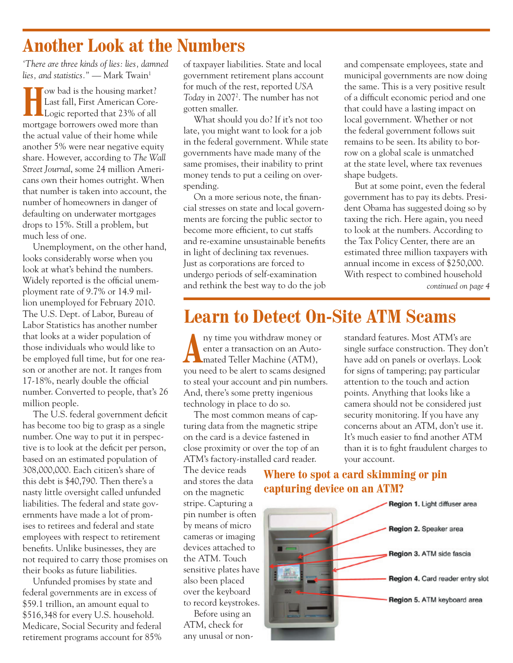## **Another Look at the Numbers**

*'There are three kinds of lies: lies, damned lies, and statistics.*" — Mark Twain<sup>1</sup>

**Housandary 19 Compared Strains 1 Control Control Control Control Control Control Control Control Control Control Control Control Control Control Control Control Control Control Control Control Control Control Control Cont** Last fall, First American Coremortgage borrowers owed more than the actual value of their home while another 5% were near negative equity share. However, according to *The Wall Street Journal*, some 24 million Americans own their homes outright. When that number is taken into account, the number of homeowners in danger of defaulting on underwater mortgages drops to 15%. Still a problem, but much less of one.

Unemployment, on the other hand, looks considerably worse when you look at what's behind the numbers. Widely reported is the official unemployment rate of 9.7% or 14.9 million unemployed for February 2010. The U.S. Dept. of Labor, Bureau of Labor Statistics has another number that looks at a wider population of those individuals who would like to be employed full time, but for one reason or another are not. It ranges from 17-18%, nearly double the official number. Converted to people, that's 26 million people.

The U.S. federal government deficit has become too big to grasp as a single number. One way to put it in perspective is to look at the deficit per person, based on an estimated population of 308,000,000. Each citizen's share of this debt is \$40,790. Then there's a nasty little oversight called unfunded liabilities. The federal and state governments have made a lot of promises to retirees and federal and state employees with respect to retirement benefits. Unlike businesses, they are not required to carry those promises on their books as future liabilities.

Unfunded promises by state and federal governments are in excess of \$59.1 trillion, an amount equal to \$516,348 for every U.S. household. Medicare, Social Security and federal retirement programs account for 85%

of taxpayer liabilities. State and local government retirement plans account for much of the rest, reported *USA*  Today in 2007<sup>2</sup>. The number has not gotten smaller.

What should you do? If it's not too late, you might want to look for a job in the federal government. While state governments have made many of the same promises, their inability to print money tends to put a ceiling on overspending.

On a more serious note, the financial stresses on state and local governments are forcing the public sector to become more efficient, to cut staffs and re-examine unsustainable benefits in light of declining tax revenues. Just as corporations are forced to undergo periods of self-examination and rethink the best way to do the job and compensate employees, state and municipal governments are now doing the same. This is a very positive result of a difficult economic period and one that could have a lasting impact on local government. Whether or not the federal government follows suit remains to be seen. Its ability to borrow on a global scale is unmatched at the state level, where tax revenues shape budgets.

*continued on page 4* But at some point, even the federal government has to pay its debts. President Obama has suggested doing so by taxing the rich. Here again, you need to look at the numbers. According to the Tax Policy Center, there are an estimated three million taxpayers with annual income in excess of \$250,000. With respect to combined household

## **Learn to Detect On-Site ATM Scams**

Aussissippin withdraw money or enter a transaction on an Auto-<br>mated Teller Machine (ATM), enter a transaction on an Autoyou need to be alert to scams designed to steal your account and pin numbers. And, there's some pretty ingenious technology in place to do so.

The most common means of capturing data from the magnetic stripe on the card is a device fastened in close proximity or over the top of an ATM's factory-installed card reader.

The device reads and stores the data on the magnetic stripe. Capturing a pin number is often by means of micro cameras or imaging devices attached to the ATM. Touch sensitive plates have also been placed over the keyboard to record keystrokes.

Before using an ATM, check for any unusal or nonstandard features. Most ATM's are single surface construction. They don't have add on panels or overlays. Look for signs of tampering; pay particular attention to the touch and action points. Anything that looks like a camera should not be considered just security monitoring. If you have any concerns about an ATM, don't use it. It's much easier to find another ATM than it is to fight fraudulent charges to your account.

#### **Where to spot a card skimming or pin capturing device on an ATM?**